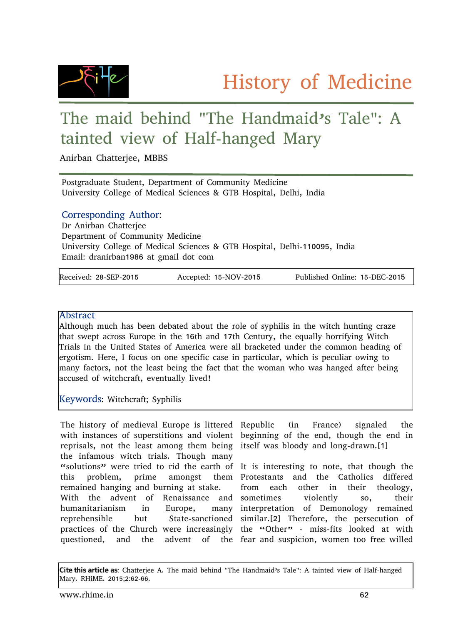

## The maid behind "The Handmaid's Tale": A tainted view of Half-hanged Mary

Anirban Chatterjee, MBBS

Postgraduate Student, Department of Community Medicine University College of Medical Sciences & GTB Hospital, Delhi, India

## Corresponding Author:

Dr Anirban Chatterjee Department of Community Medicine University College of Medical Sciences & GTB Hospital, Delhi-110095, India Email: dranirban1986 at gmail dot com

| Received: 28-SEP-2015 | Accepted: 15-NOV-2015 | Published Online: 15-DEC-2015 |
|-----------------------|-----------------------|-------------------------------|

## Abstract

Although much has been debated about the role of syphilis in the witch hunting craze that swept across Europe in the 16th and 17th Century, the equally horrifying Witch Trials in the United States of America were all bracketed under the common heading of ergotism. Here, I focus on one specific case in particular, which is peculiar owing to many factors, not the least being the fact that the woman who was hanged after being accused of witchcraft, eventually lived!

Keywords: Witchcraft; Syphilis

The history of medieval Europe is littered Republic (in France) signaled the with instances of superstitions and violent beginning of the end, though the end in reprisals, not the least among them being itself was bloody and long-drawn.[1] the infamous witch trials. Though many "solutions" were tried to rid the earth of It is interesting to note, that though the this problem, prime amongst remained hanging and burning at stake. With the advent of Renaissance and sometimes violently so, their humanitarianism in Europe, reprehensible but State-sanctioned similar.[2] Therefore, the persecution of practices of the Church were increasingly the "Other" - miss-fits looked at with questioned, and the advent of the fear and suspicion, women too free willed

Protestants and the Catholics differed from each other in their theology, many interpretation of Demonology remained

**Cite this article as**: Chatterjee A. The maid behind "The Handmaid's Tale": A tainted view of Half-hanged Mary. RHiME. 2015;2:62-66.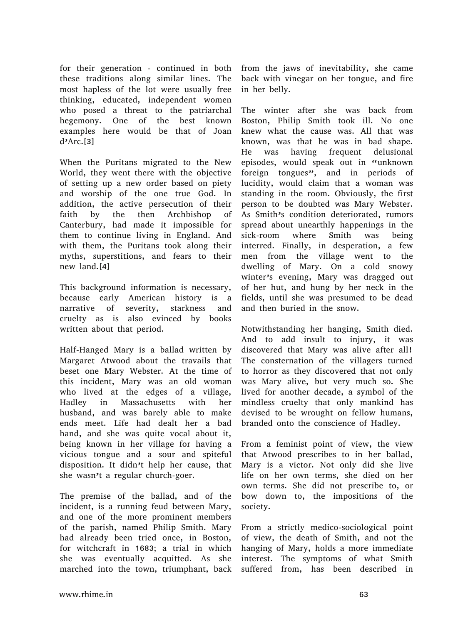for their generation - continued in both these traditions along similar lines. The most hapless of the lot were usually free thinking, educated, independent women who posed a threat to the patriarchal hegemony. One of the best known examples here would be that of Joan d'Arc.[3]

When the Puritans migrated to the New World, they went there with the objective of setting up a new order based on piety and worship of the one true God. In addition, the active persecution of their faith by the then Archbishop of Canterbury, had made it impossible for them to continue living in England. And with them, the Puritans took along their myths, superstitions, and fears to their new land.[4]

This background information is necessary, because early American history is a narrative of severity, starkness and cruelty as is also evinced by books written about that period.

Half-Hanged Mary is a ballad written by Margaret Atwood about the travails that beset one Mary Webster. At the time of this incident, Mary was an old woman who lived at the edges of a village, Hadley in Massachusetts with her husband, and was barely able to make ends meet. Life had dealt her a bad hand, and she was quite vocal about it, being known in her village for having a vicious tongue and a sour and spiteful disposition. It didn't help her cause, that she wasn't a regular church-goer.

The premise of the ballad, and of the incident, is a running feud between Mary, and one of the more prominent members of the parish, named Philip Smith. Mary had already been tried once, in Boston, for witchcraft in 1683; a trial in which she was eventually acquitted. As she marched into the town, triumphant, back from the jaws of inevitability, she came back with vinegar on her tongue, and fire in her belly.

The winter after she was back from Boston, Philip Smith took ill. No one knew what the cause was. All that was known, was that he was in bad shape. He was having frequent delusional episodes, would speak out in "unknown foreign tongues", and in periods of lucidity, would claim that a woman was standing in the room. Obviously, the first person to be doubted was Mary Webster. As Smith's condition deteriorated, rumors spread about unearthly happenings in the sick-room where Smith was being interred. Finally, in desperation, a few men from the village went to the dwelling of Mary. On a cold snowy winter's evening, Mary was dragged out of her hut, and hung by her neck in the fields, until she was presumed to be dead and then buried in the snow.

Notwithstanding her hanging, Smith died. And to add insult to injury, it was discovered that Mary was alive after all! The consternation of the villagers turned to horror as they discovered that not only was Mary alive, but very much so. She lived for another decade, a symbol of the mindless cruelty that only mankind has devised to be wrought on fellow humans, branded onto the conscience of Hadley.

From a feminist point of view, the view that Atwood prescribes to in her ballad, Mary is a victor. Not only did she live life on her own terms, she died on her own terms. She did not prescribe to, or bow down to, the impositions of the society.

From a strictly medico-sociological point of view, the death of Smith, and not the hanging of Mary, holds a more immediate interest. The symptoms of what Smith suffered from, has been described in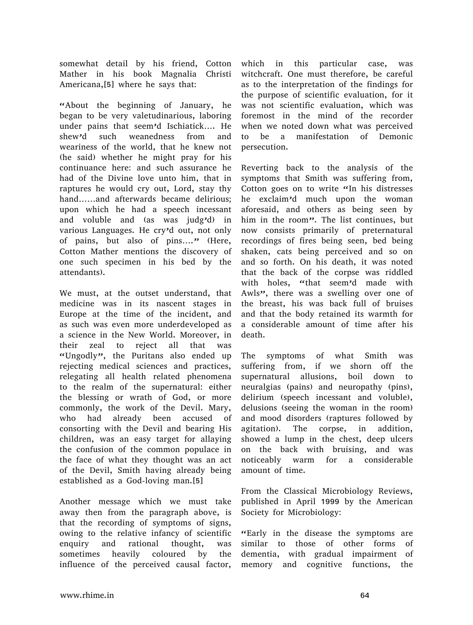somewhat detail by his friend, Cotton Mather in his book Magnalia Christi Americana,[5] where he says that:

"About the beginning of January, he began to be very valetudinarious, laboring under pains that seem'd Ischiatick…. He shew'd such weanedness from and weariness of the world, that he knew not (he said) whether he might pray for his continuance here: and such assurance he had of the Divine love unto him, that in raptures he would cry out, Lord, stay thy hand……and afterwards became delirious; upon which he had a speech incessant and voluble and (as was judg'd) in various Languages. He cry'd out, not only of pains, but also of pins...." (Here, Cotton Mather mentions the discovery of one such specimen in his bed by the attendants).

We must, at the outset understand, that medicine was in its nascent stages in Europe at the time of the incident, and as such was even more underdeveloped as a science in the New World. Moreover, in their zeal to reject all that was "Ungodly", the Puritans also ended up rejecting medical sciences and practices, relegating all health related phenomena to the realm of the supernatural: either the blessing or wrath of God, or more commonly, the work of the Devil. Mary, who had already been accused of consorting with the Devil and bearing His children, was an easy target for allaying the confusion of the common populace in the face of what they thought was an act of the Devil, Smith having already being established as a God-loving man.[5]

Another message which we must take away then from the paragraph above, is that the recording of symptoms of signs, owing to the relative infancy of scientific enquiry and rational thought, was sometimes heavily coloured by the influence of the perceived causal factor,

which in this particular case, was witchcraft. One must therefore, be careful as to the interpretation of the findings for the purpose of scientific evaluation, for it was not scientific evaluation, which was foremost in the mind of the recorder when we noted down what was perceived to be a manifestation of Demonic persecution.

Reverting back to the analysis of the symptoms that Smith was suffering from, Cotton goes on to write "In his distresses he exclaim'd much upon the woman aforesaid, and others as being seen by him in the room". The list continues, but now consists primarily of preternatural recordings of fires being seen, bed being shaken, cats being perceived and so on and so forth. On his death, it was noted that the back of the corpse was riddled with holes, "that seem'd made with Awls", there was a swelling over one of the breast, his was back full of bruises and that the body retained its warmth for a considerable amount of time after his death.

The symptoms of what Smith was suffering from, if we shorn off the supernatural allusions, boil down to neuralgias (pains) and neuropathy (pins), delirium (speech incessant and voluble), delusions (seeing the woman in the room) and mood disorders (raptures followed by agitation). The corpse, in addition, showed a lump in the chest, deep ulcers on the back with bruising, and was noticeably warm for a considerable amount of time.

From the Classical Microbiology Reviews, published in April 1999 by the American Society for Microbiology:

"Early in the disease the symptoms are similar to those of other forms of dementia, with gradual impairment of memory and cognitive functions, the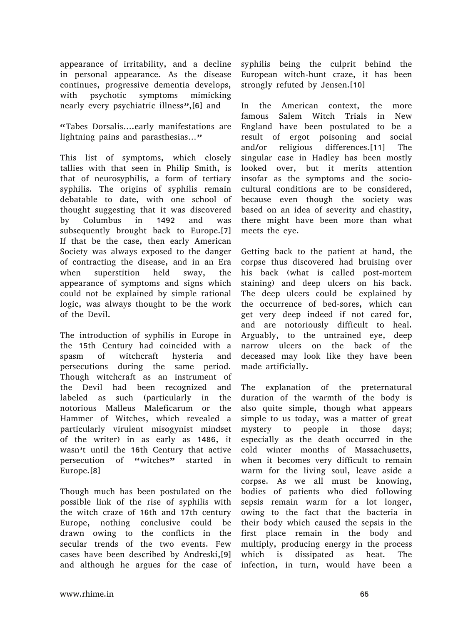appearance of irritability, and a decline in personal appearance. As the disease continues, progressive dementia develops, with psychotic symptoms mimicking nearly every psychiatric illness", [6] and

"Tabes Dorsalis….early manifestations are lightning pains and parasthesias..."

This list of symptoms, which closely tallies with that seen in Philip Smith, is that of neurosyphilis, a form of tertiary syphilis. The origins of syphilis remain debatable to date, with one school of thought suggesting that it was discovered by Columbus in 1492 and was subsequently brought back to Europe.[7] If that be the case, then early American Society was always exposed to the danger of contracting the disease, and in an Era when superstition held sway, the appearance of symptoms and signs which could not be explained by simple rational logic, was always thought to be the work of the Devil.

The introduction of syphilis in Europe in the 15th Century had coincided with a spasm of witchcraft hysteria and persecutions during the same period. Though witchcraft as an instrument of the Devil had been recognized and labeled as such (particularly in the notorious Malleus Maleficarum or the Hammer of Witches, which revealed a particularly virulent misogynist mindset of the writer) in as early as 1486, it wasn't until the 16th Century that active persecution of "witches" started in Europe.[8]

Though much has been postulated on the possible link of the rise of syphilis with the witch craze of 16th and 17th century Europe, nothing conclusive could be drawn owing to the conflicts in the secular trends of the two events. Few cases have been described by Andreski,[9] and although he argues for the case of

syphilis being the culprit behind the European witch-hunt craze, it has been strongly refuted by Jensen.[10]

In the American context, the more famous Salem Witch Trials in New England have been postulated to be a result of ergot poisoning and social and/or religious differences.[11] The singular case in Hadley has been mostly looked over, but it merits attention insofar as the symptoms and the sociocultural conditions are to be considered, because even though the society was based on an idea of severity and chastity, there might have been more than what meets the eye.

Getting back to the patient at hand, the corpse thus discovered had bruising over his back (what is called post-mortem staining) and deep ulcers on his back. The deep ulcers could be explained by the occurrence of bed-sores, which can get very deep indeed if not cared for, and are notoriously difficult to heal. Arguably, to the untrained eye, deep narrow ulcers on the back of the deceased may look like they have been made artificially.

The explanation of the preternatural duration of the warmth of the body is also quite simple, though what appears simple to us today, was a matter of great mystery to people in those days; especially as the death occurred in the cold winter months of Massachusetts, when it becomes very difficult to remain warm for the living soul, leave aside a corpse. As we all must be knowing, bodies of patients who died following sepsis remain warm for a lot longer, owing to the fact that the bacteria in their body which caused the sepsis in the first place remain in the body and multiply, producing energy in the process which is dissipated as heat. The infection, in turn, would have been a